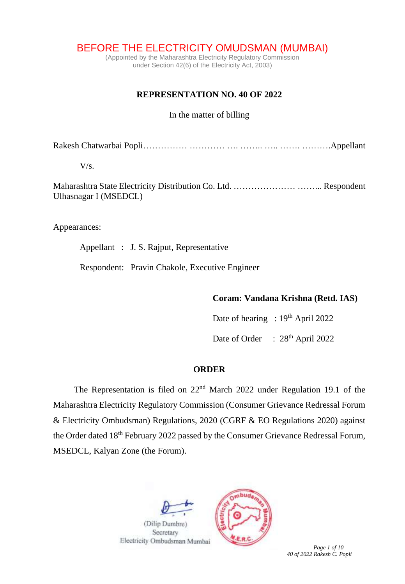# BEFORE THE ELECTRICITY OMUDSMAN (MUMBAI)

(Appointed by the Maharashtra Electricity Regulatory Commission under Section 42(6) of the Electricity Act, 2003)

### **REPRESENTATION NO. 40 OF 2022**

#### In the matter of billing

Rakesh Chatwarbai Popli…………… ………… …. …….. ….. ……. ……….Appellant

 $V/s$ .

Maharashtra State Electricity Distribution Co. Ltd. ………………… ……... Respondent Ulhasnagar I (MSEDCL)

Appearances:

Appellant : J. S. Rajput, Representative

Respondent: Pravin Chakole, Executive Engineer

#### **Coram: Vandana Krishna (Retd. IAS)**

Date of hearing : 19<sup>th</sup> April 2022

Date of Order : 28<sup>th</sup> April 2022

## **ORDER**

The Representation is filed on  $22<sup>nd</sup>$  March 2022 under Regulation 19.1 of the Maharashtra Electricity Regulatory Commission (Consumer Grievance Redressal Forum & Electricity Ombudsman) Regulations, 2020 (CGRF & EO Regulations 2020) against the Order dated 18<sup>th</sup> February 2022 passed by the Consumer Grievance Redressal Forum, MSEDCL, Kalyan Zone (the Forum).



Electricity Ombudsman Mumbai



 *Page 1 of 10 40 of 2022 Rakesh C. Popli*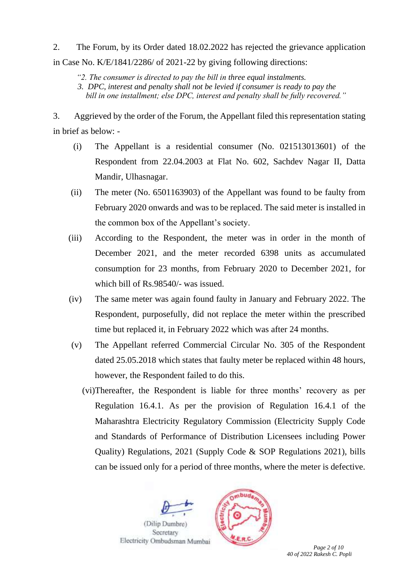2. The Forum, by its Order dated 18.02.2022 has rejected the grievance application in Case No. K/E/1841/2286/ of 2021-22 by giving following directions:

*"2. The consumer is directed to pay the bill in three equal instalments.*

 *3. DPC, interest and penalty shall not be levied if consumer is ready to pay the bill in one installment; else DPC, interest and penalty shall be fully recovered."* 

3. Aggrieved by the order of the Forum, the Appellant filed this representation stating in brief as below: -

- (i) The Appellant is a residential consumer (No. 021513013601) of the Respondent from 22.04.2003 at Flat No. 602, Sachdev Nagar II, Datta Mandir, Ulhasnagar.
- (ii) The meter (No. 6501163903) of the Appellant was found to be faulty from February 2020 onwards and was to be replaced. The said meter is installed in the common box of the Appellant's society.
- (iii) According to the Respondent, the meter was in order in the month of December 2021, and the meter recorded 6398 units as accumulated consumption for 23 months, from February 2020 to December 2021, for which bill of Rs.98540/- was issued.
- (iv) The same meter was again found faulty in January and February 2022. The Respondent, purposefully, did not replace the meter within the prescribed time but replaced it, in February 2022 which was after 24 months.
- (v) The Appellant referred Commercial Circular No. 305 of the Respondent dated 25.05.2018 which states that faulty meter be replaced within 48 hours, however, the Respondent failed to do this.
	- (vi)Thereafter, the Respondent is liable for three months' recovery as per Regulation 16.4.1. As per the provision of Regulation 16.4.1 of the Maharashtra Electricity Regulatory Commission (Electricity Supply Code and Standards of Performance of Distribution Licensees including Power Quality) Regulations, 2021 (Supply Code & SOP Regulations 2021), bills can be issued only for a period of three months, where the meter is defective.





*Page 2 of 10 40 of 2022 Rakesh C. Popli*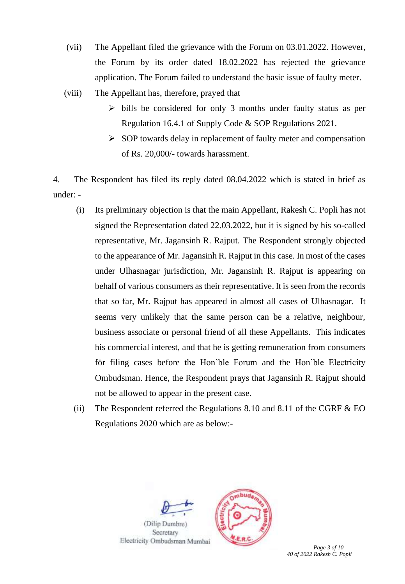- (vii) The Appellant filed the grievance with the Forum on 03.01.2022. However, the Forum by its order dated 18.02.2022 has rejected the grievance application. The Forum failed to understand the basic issue of faulty meter.
- (viii) The Appellant has, therefore, prayed that
	- ➢ bills be considered for only 3 months under faulty status as per Regulation 16.4.1 of Supply Code & SOP Regulations 2021.
	- ➢ SOP towards delay in replacement of faulty meter and compensation of Rs. 20,000/- towards harassment.

4. The Respondent has filed its reply dated 08.04.2022 which is stated in brief as under: -

- (i) Its preliminary objection is that the main Appellant, Rakesh C. Popli has not signed the Representation dated 22.03.2022, but it is signed by his so-called representative, Mr. Jagansinh R. Rajput. The Respondent strongly objected to the appearance of Mr. Jagansinh R. Rajput in this case. In most of the cases under Ulhasnagar jurisdiction, Mr. Jagansinh R. Rajput is appearing on behalf of various consumers as their representative. It is seen from the records that so far, Mr. Rajput has appeared in almost all cases of Ulhasnagar. It seems very unlikely that the same person can be a relative, neighbour, business associate or personal friend of all these Appellants. This indicates his commercial interest, and that he is getting remuneration from consumers för filing cases before the Hon'ble Forum and the Hon'ble Electricity Ombudsman. Hence, the Respondent prays that Jagansinh R. Rajput should not be allowed to appear in the present case.
- (ii) The Respondent referred the Regulations  $8.10$  and  $8.11$  of the CGRF  $& \text{EO}$ Regulations 2020 which are as below:-

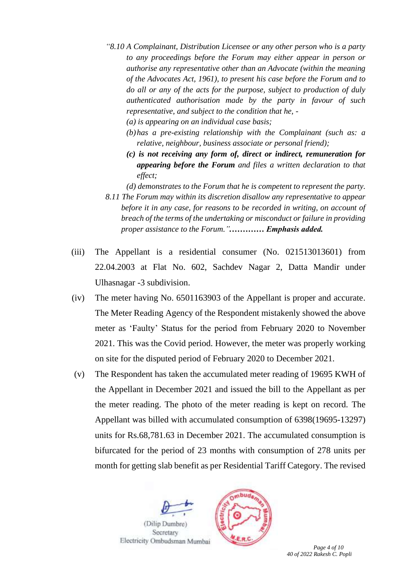- *"8.10 A Complainant, Distribution Licensee or any other person who is a party to any proceedings before the Forum may either appear in person or authorise any representative other than an Advocate (within the meaning of the Advocates Act, 1961), to present his case before the Forum and to do all or any of the acts for the purpose, subject to production of duly authenticated authorisation made by the party in favour of such representative, and subject to the condition that he, -*
	- *(a) is appearing on an individual case basis;*
	- *(b)has a pre-existing relationship with the Complainant (such as: a relative, neighbour, business associate or personal friend);*
	- *(c) is not receiving any form of, direct or indirect, remuneration for appearing before the Forum and files a written declaration to that effect;*
	- *(d) demonstrates to the Forum that he is competent to represent the party.*
- *8.11 The Forum may within its discretion disallow any representative to appear before it in any case, for reasons to be recorded in writing, on account of breach of the terms of the undertaking or misconduct or failure in providing proper assistance to the Forum.".………… Emphasis added.*
- (iii) The Appellant is a residential consumer (No. 021513013601) from 22.04.2003 at Flat No. 602, Sachdev Nagar 2, Datta Mandir under Ulhasnagar -3 subdivision.
- (iv) The meter having No. 6501163903 of the Appellant is proper and accurate. The Meter Reading Agency of the Respondent mistakenly showed the above meter as 'Faulty' Status for the period from February 2020 to November 2021. This was the Covid period. However, the meter was properly working on site for the disputed period of February 2020 to December 2021.
- (v) The Respondent has taken the accumulated meter reading of 19695 KWH of the Appellant in December 2021 and issued the bill to the Appellant as per the meter reading. The photo of the meter reading is kept on record. The Appellant was billed with accumulated consumption of 6398(19695-13297) units for Rs.68,781.63 in December 2021. The accumulated consumption is bifurcated for the period of 23 months with consumption of 278 units per month for getting slab benefit as per Residential Tariff Category. The revised





 *Page 4 of 10 40 of 2022 Rakesh C. Popli*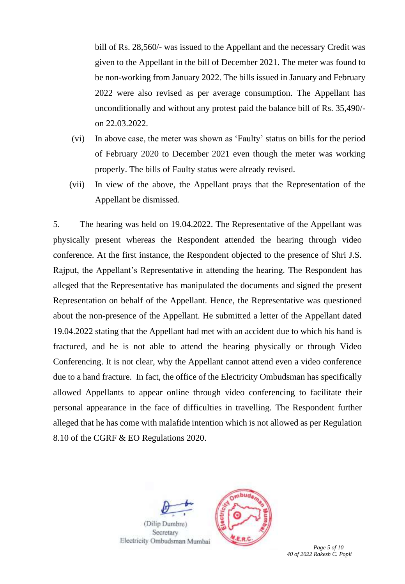bill of Rs. 28,560/- was issued to the Appellant and the necessary Credit was given to the Appellant in the bill of December 2021. The meter was found to be non-working from January 2022. The bills issued in January and February 2022 were also revised as per average consumption. The Appellant has unconditionally and without any protest paid the balance bill of Rs. 35,490/ on 22.03.2022.

- (vi) In above case, the meter was shown as 'Faulty' status on bills for the period of February 2020 to December 2021 even though the meter was working properly. The bills of Faulty status were already revised.
- (vii) In view of the above, the Appellant prays that the Representation of the Appellant be dismissed.

5. The hearing was held on 19.04.2022. The Representative of the Appellant was physically present whereas the Respondent attended the hearing through video conference. At the first instance, the Respondent objected to the presence of Shri J.S. Rajput, the Appellant's Representative in attending the hearing. The Respondent has alleged that the Representative has manipulated the documents and signed the present Representation on behalf of the Appellant. Hence, the Representative was questioned about the non-presence of the Appellant. He submitted a letter of the Appellant dated 19.04.2022 stating that the Appellant had met with an accident due to which his hand is fractured, and he is not able to attend the hearing physically or through Video Conferencing. It is not clear, why the Appellant cannot attend even a video conference due to a hand fracture. In fact, the office of the Electricity Ombudsman has specifically allowed Appellants to appear online through video conferencing to facilitate their personal appearance in the face of difficulties in travelling. The Respondent further alleged that he has come with malafide intention which is not allowed as per Regulation 8.10 of the CGRF & EO Regulations 2020.





*Page 5 of 10 40 of 2022 Rakesh C. Popli*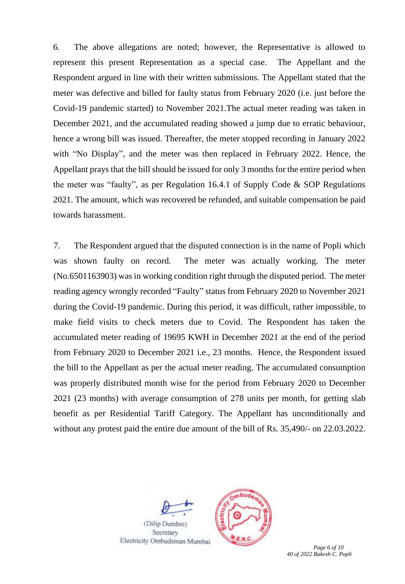6. The above allegations are noted; however, the Representative is allowed to represent this present Representation as a special case. The Appellant and the Respondent argued in line with their written submissions. The Appellant stated that the meter was defective and billed for faulty status from February 2020 (i.e. just before the Covid-19 pandemic started) to November 2021.The actual meter reading was taken in December 2021, and the accumulated reading showed a jump due to erratic behaviour, hence a wrong bill was issued. Thereafter, the meter stopped recording in January 2022 with "No Display", and the meter was then replaced in February 2022. Hence, the Appellant prays that the bill should be issued for only 3 months for the entire period when the meter was "faulty", as per Regulation 16.4.1 of Supply Code & SOP Regulations 2021. The amount, which was recovered be refunded, and suitable compensation be paid towards harassment.

7. The Respondent argued that the disputed connection is in the name of Popli which was shown faulty on record. The meter was actually working. The meter (No.6501163903) was in working condition right through the disputed period. The meter reading agency wrongly recorded "Faulty" status from February 2020 to November 2021 during the Covid-19 pandemic. During this period, it was difficult, rather impossible, to make field visits to check meters due to Covid. The Respondent has taken the accumulated meter reading of 19695 KWH in December 2021 at the end of the period from February 2020 to December 2021 i.e., 23 months. Hence, the Respondent issued the bill to the Appellant as per the actual meter reading. The accumulated consumption was properly distributed month wise for the period from February 2020 to December 2021 (23 months) with average consumption of 278 units per month, for getting slab benefit as per Residential Tariff Category. The Appellant has unconditionally and without any protest paid the entire due amount of the bill of Rs. 35,490/- on 22.03.2022.



(Dilip Dumbre) Secretary Electricity Ombudsman Mumbai



 *Page 6 of 10 40 of 2022 Rakesh C. Popli*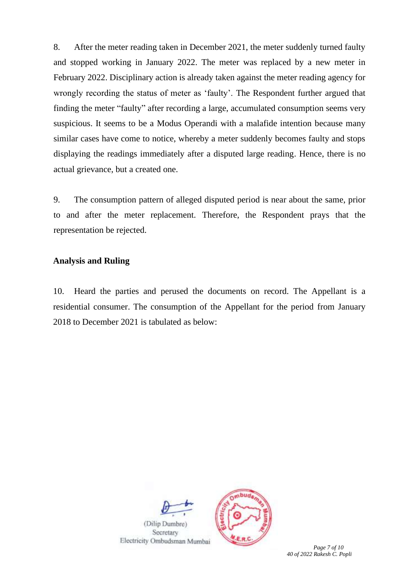8. After the meter reading taken in December 2021, the meter suddenly turned faulty and stopped working in January 2022. The meter was replaced by a new meter in February 2022. Disciplinary action is already taken against the meter reading agency for wrongly recording the status of meter as 'faulty'. The Respondent further argued that finding the meter "faulty" after recording a large, accumulated consumption seems very suspicious. It seems to be a Modus Operandi with a malafide intention because many similar cases have come to notice, whereby a meter suddenly becomes faulty and stops displaying the readings immediately after a disputed large reading. Hence, there is no actual grievance, but a created one.

9. The consumption pattern of alleged disputed period is near about the same, prior to and after the meter replacement. Therefore, the Respondent prays that the representation be rejected.

# **Analysis and Ruling**

10. Heard the parties and perused the documents on record. The Appellant is a residential consumer. The consumption of the Appellant for the period from January 2018 to December 2021 is tabulated as below:

(Dilip Dumbre) Secretary Electricity Ombudsman Mumbai

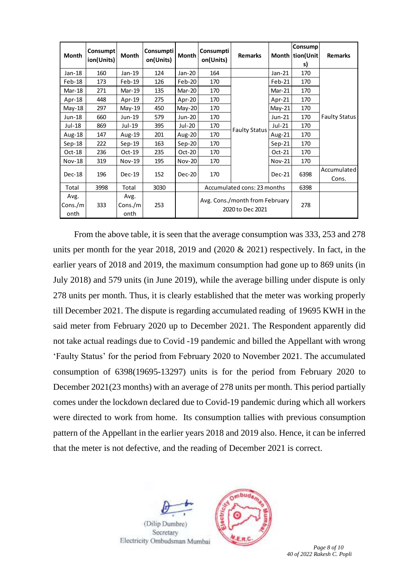| Month                   | Consumpt<br>ion(Units) | Month                   | Consumpti<br>on(Units) | Month         | Consumpti<br>on(Units)                             | <b>Remarks</b>              |               | Consump<br>Month tion(Unit)<br>s) | <b>Remarks</b>       |
|-------------------------|------------------------|-------------------------|------------------------|---------------|----------------------------------------------------|-----------------------------|---------------|-----------------------------------|----------------------|
| Jan-18                  | 160                    | Jan-19                  | 124                    | Jan-20        | 164                                                |                             | $Jan-21$      | 170                               |                      |
| Feb-18                  | 173                    | Feb-19                  | 126                    | Feb-20        | 170                                                | <b>Faulty Status</b>        | Feb-21        | 170                               | <b>Faulty Status</b> |
| Mar-18                  | 271                    | Mar-19                  | 135                    | Mar-20        | 170                                                |                             | $Mar-21$      | 170                               |                      |
| Apr-18                  | 448                    | $Apr-19$                | 275                    | Apr-20        | 170                                                |                             | Apr-21        | 170                               |                      |
| May-18                  | 297                    | $May-19$                | 450                    | May-20        | 170                                                |                             | $May-21$      | 170                               |                      |
| Jun-18                  | 660                    | Jun-19                  | 579                    | Jun-20        | 170                                                |                             | Jun-21        | 170                               |                      |
| Jul-18                  | 869                    | Jul-19                  | 395                    | Jul-20        | 170                                                |                             | Jul-21        | 170                               |                      |
| Aug-18                  | 147                    | Aug-19                  | 201                    | Aug-20        | 170                                                |                             | Aug-21        | 170                               |                      |
| $Sep-18$                | 222                    | $Sep-19$                | 163                    | $Sep-20$      | 170                                                |                             | $Sep-21$      | 170                               |                      |
| $Oct-18$                | 236                    | Oct-19                  | 235                    | Oct-20        | 170                                                |                             | $Oct-21$      | 170                               |                      |
| <b>Nov-18</b>           | 319                    | <b>Nov-19</b>           | 195                    | Nov-20        | 170                                                |                             | <b>Nov-21</b> | 170                               |                      |
| $Dec-18$                |                        | $Dec-19$                | 152                    |               |                                                    |                             | $Dec-21$      | 6398                              | Accumulated          |
|                         | 196                    |                         |                        | <b>Dec-20</b> | 170                                                |                             |               |                                   | Cons.                |
| Total                   | 3998                   | Total                   | 3030                   |               |                                                    | Accumulated cons: 23 months | 6398          |                                   |                      |
| Avg.<br>Cons./m<br>onth | 333                    | Avg.<br>Cons./m<br>onth | 253                    |               | Avg. Cons./month from February<br>2020 to Dec 2021 |                             |               | 278                               |                      |

From the above table, it is seen that the average consumption was 333, 253 and 278 units per month for the year 2018, 2019 and (2020 & 2021) respectively. In fact, in the earlier years of 2018 and 2019, the maximum consumption had gone up to 869 units (in July 2018) and 579 units (in June 2019), while the average billing under dispute is only 278 units per month. Thus, it is clearly established that the meter was working properly till December 2021. The dispute is regarding accumulated reading of 19695 KWH in the said meter from February 2020 up to December 2021. The Respondent apparently did not take actual readings due to Covid -19 pandemic and billed the Appellant with wrong 'Faulty Status' for the period from February 2020 to November 2021. The accumulated consumption of 6398(19695-13297) units is for the period from February 2020 to December 2021(23 months) with an average of 278 units per month. This period partially comes under the lockdown declared due to Covid-19 pandemic during which all workers were directed to work from home. Its consumption tallies with previous consumption pattern of the Appellant in the earlier years 2018 and 2019 also. Hence, it can be inferred that the meter is not defective, and the reading of December 2021 is correct.







 $Table$ 

*40 of 2022 Rakesh C. Popli*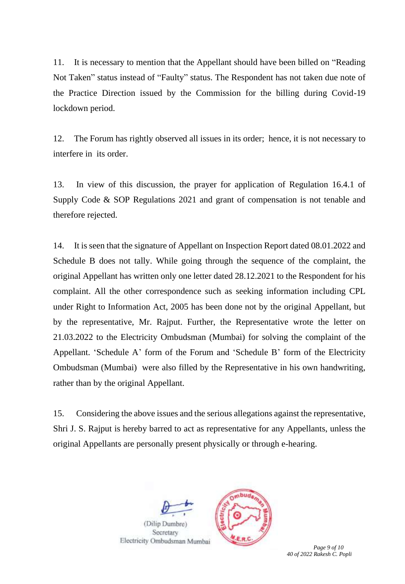11. It is necessary to mention that the Appellant should have been billed on "Reading Not Taken" status instead of "Faulty" status. The Respondent has not taken due note of the Practice Direction issued by the Commission for the billing during Covid-19 lockdown period.

12. The Forum has rightly observed all issues in its order; hence, it is not necessary to interfere in its order.

13. In view of this discussion, the prayer for application of Regulation 16.4.1 of Supply Code & SOP Regulations 2021 and grant of compensation is not tenable and therefore rejected.

14. It is seen that the signature of Appellant on Inspection Report dated 08.01.2022 and Schedule B does not tally. While going through the sequence of the complaint, the original Appellant has written only one letter dated 28.12.2021 to the Respondent for his complaint. All the other correspondence such as seeking information including CPL under Right to Information Act, 2005 has been done not by the original Appellant, but by the representative, Mr. Rajput. Further, the Representative wrote the letter on 21.03.2022 to the Electricity Ombudsman (Mumbai) for solving the complaint of the Appellant. 'Schedule A' form of the Forum and 'Schedule B' form of the Electricity Ombudsman (Mumbai) were also filled by the Representative in his own handwriting, rather than by the original Appellant.

15. Considering the above issues and the serious allegations against the representative, Shri J. S. Rajput is hereby barred to act as representative for any Appellants, unless the original Appellants are personally present physically or through e-hearing.





 *Page 9 of 10 40 of 2022 Rakesh C. Popli*